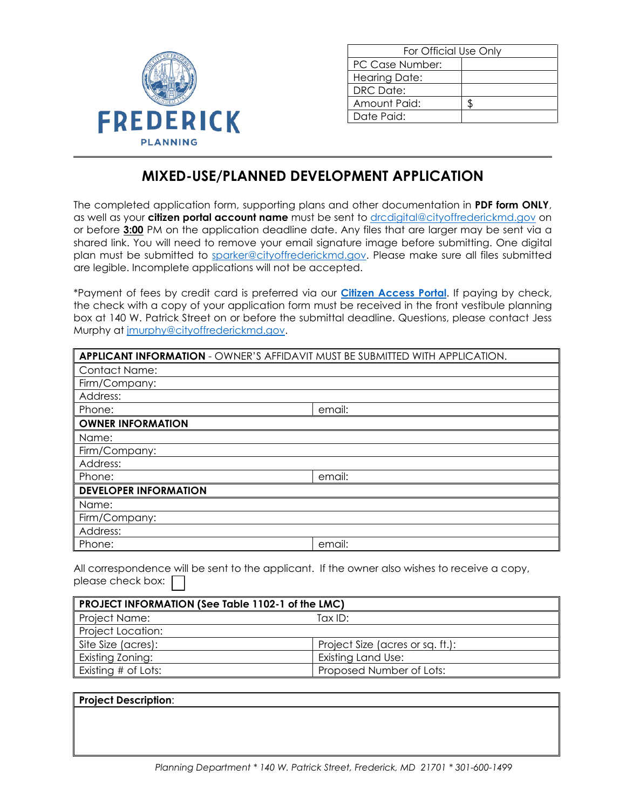

| For Official Use Only |  |  |  |
|-----------------------|--|--|--|
| PC Case Number:       |  |  |  |
| <b>Hearing Date:</b>  |  |  |  |
| DRC Date:             |  |  |  |
| Amount Paid:          |  |  |  |
| Date Paid:            |  |  |  |

# **MIXED-USE/PLANNED DEVELOPMENT APPLICATION**

The completed application form, supporting plans and other documentation in **PDF form ONLY**, as well as your **citizen portal account name** must be sent to [drcdigital@cityoffrederickmd.gov](mailto:drcdigital@cityoffrederickmd.gov) on or before **3:00** PM on the application deadline date. Any files that are larger may be sent via a shared link. You will need to remove your email signature image before submitting. One digital plan must be submitted to [sparker@cityoffrederickmd.gov.](mailto:sparker@cityoffrederickmd.gov) Please make sure all files submitted are legible. Incomplete applications will not be accepted.

\*Payment of fees by credit card is preferred via our **[Citizen Access Portal](https://gcc02.safelinks.protection.outlook.com/?url=https%3A%2F%2Fcitizenaccess.cityoffrederick.com%2Fcitizenaccess%2F&data=02%7C01%7Cgcollard%40cityoffrederickmd.gov%7Cad3d08217e17487711b308d7d4cd9765%7Cc379f8550dee4b099f890cee3aa7f761%7C0%7C0%7C637211851779890394&sdata=fTC85eZgbuzzFKzq%2Fio%2FHxCILWPquIWiY8bsVzLfTtM%3D&reserved=0)**. If paying by check, the check with a copy of your application form must be received in the front vestibule planning box at 140 W. Patrick Street on or before the submittal deadline. Questions, please contact Jess Murphy at [jmurphy@cityoffrederickmd.gov.](mailto:jmurphy@cityoffrederickmd.gov)

| APPLICANT INFORMATION - OWNER'S AFFIDAVIT MUST BE SUBMITTED WITH APPLICATION. |        |  |  |  |
|-------------------------------------------------------------------------------|--------|--|--|--|
| <b>Contact Name:</b>                                                          |        |  |  |  |
| Firm/Company:                                                                 |        |  |  |  |
| Address:                                                                      |        |  |  |  |
| Phone:                                                                        | email: |  |  |  |
| <b>OWNER INFORMATION</b>                                                      |        |  |  |  |
| Name:                                                                         |        |  |  |  |
| Firm/Company:                                                                 |        |  |  |  |
| Address:                                                                      |        |  |  |  |
| Phone:                                                                        | email: |  |  |  |
| <b>DEVELOPER INFORMATION</b>                                                  |        |  |  |  |
| Name:                                                                         |        |  |  |  |
| Firm/Company:                                                                 |        |  |  |  |
| Address:                                                                      |        |  |  |  |
| Phone:                                                                        | email: |  |  |  |

All correspondence will be sent to the applicant. If the owner also wishes to receive a copy, please check box:

| PROJECT INFORMATION (See Table 1102-1 of the LMC) |                                  |  |  |  |
|---------------------------------------------------|----------------------------------|--|--|--|
| Project Name:                                     | Tax $ID:$                        |  |  |  |
| <b>Project Location:</b>                          |                                  |  |  |  |
| Site Size (acres):                                | Project Size (acres or sq. ft.): |  |  |  |
| Existing Zoning:                                  | Existing Land Use:               |  |  |  |
| Existing # of Lots:                               | Proposed Number of Lots:         |  |  |  |

### **Project Description**: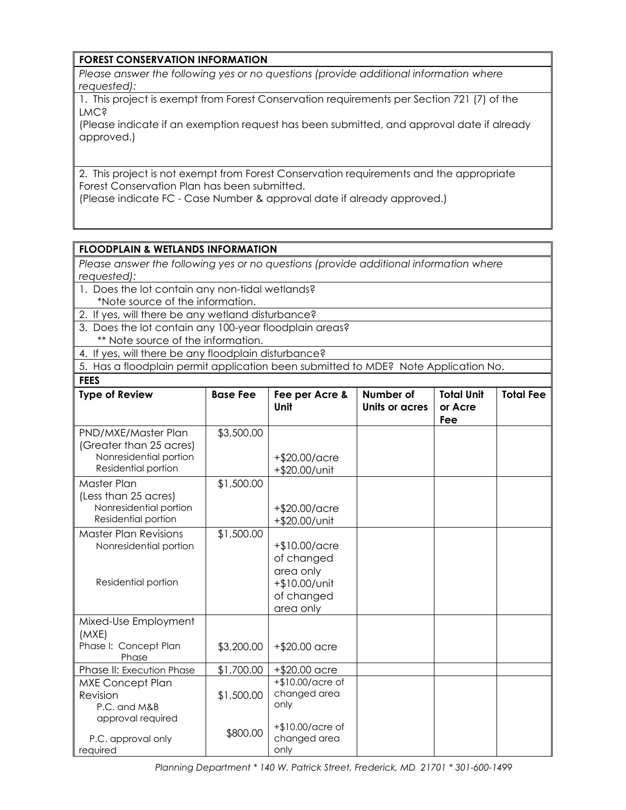## **FOREST CONSERVATION INFORMATION**

*Please answer the following yes or no questions (provide additional information where requested):*

1. This project is exempt from Forest Conservation requirements per Section 721 (7) of the LMC?

(Please indicate if an exemption request has been submitted, and approval date if already approved.)

2. This project is not exempt from Forest Conservation requirements and the appropriate Forest Conservation Plan has been submitted.

(Please indicate FC - Case Number & approval date if already approved.)

## **FLOODPLAIN & WETLANDS INFORMATION**

*Please answer the following yes or no questions (provide additional information where requested):*

- 1. Does the lot contain any non-tidal wetlands? \*Note source of the information.
- 2. If yes, will there be any wetland disturbance?
- 3. Does the lot contain any 100-year floodplain areas? \*\* Note source of the information.
- 4. If yes, will there be any floodplain disturbance?

5. Has a floodplain permit application been submitted to MDE? Note Application No.

| <b>FEES</b>                                                                                     |                 |                                                                                      |                                    |                                     |                  |
|-------------------------------------------------------------------------------------------------|-----------------|--------------------------------------------------------------------------------------|------------------------------------|-------------------------------------|------------------|
| <b>Type of Review</b>                                                                           | <b>Base Fee</b> | Fee per Acre &<br>Unit                                                               | Number of<br><b>Units or acres</b> | <b>Total Unit</b><br>or Acre<br>Fee | <b>Total Fee</b> |
| PND/MXE/Master Plan<br>(Greater than 25 acres)<br>Nonresidential portion<br>Residential portion | \$3,500.00      | +\$20.00/acre<br>+\$20.00/unit                                                       |                                    |                                     |                  |
| Master Plan<br>(Less than 25 acres)<br>Nonresidential portion<br>Residential portion            | \$1,500.00      | +\$20.00/acre<br>+\$20.00/unit                                                       |                                    |                                     |                  |
| <b>Master Plan Revisions</b><br>Nonresidential portion<br>Residential portion                   | \$1,500.00      | +\$10.00/acre<br>of changed<br>area only<br>+\$10.00/unit<br>of changed<br>area only |                                    |                                     |                  |
| Mixed-Use Employment<br>(MXE)<br>Phase I: Concept Plan<br>Phase                                 | \$3,200.00      | +\$20.00 acre                                                                        |                                    |                                     |                  |
| Phase II: Execution Phase                                                                       | \$1,700.00      | $+ $20.00$ acre                                                                      |                                    |                                     |                  |
| <b>MXE Concept Plan</b><br>Revision<br>P.C. and M&B<br>approval required                        | \$1,500.00      | +\$10.00/acre of<br>changed area<br>only                                             |                                    |                                     |                  |
| P.C. approval only<br>required                                                                  | \$800.00        | +\$10.00/acre of<br>changed area<br>only                                             |                                    |                                     |                  |